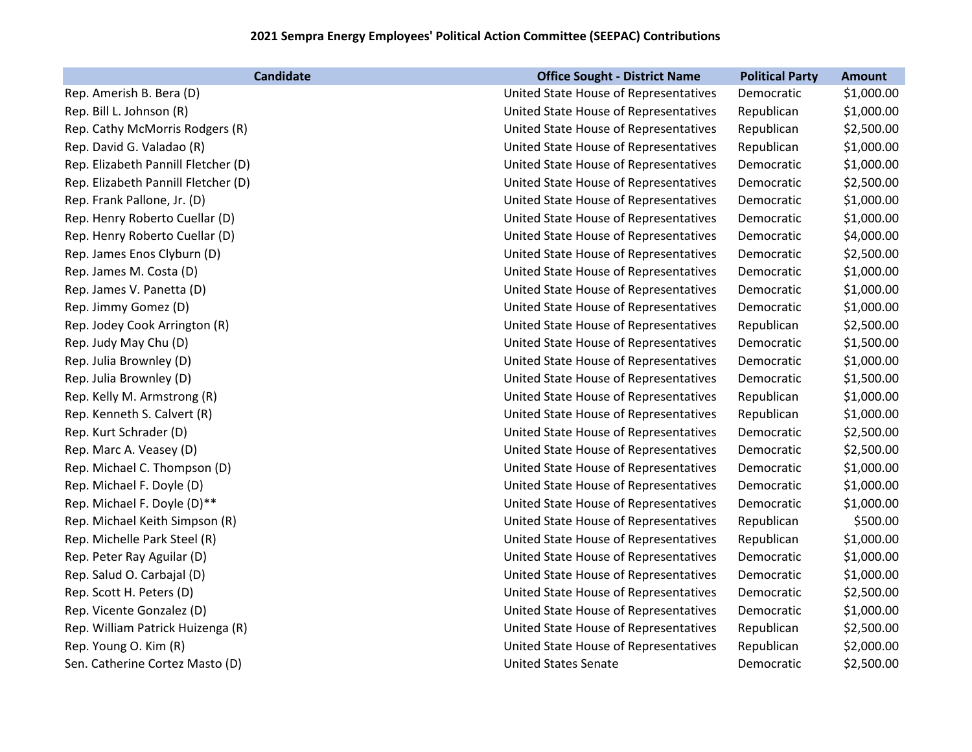## **2021 Sempra Energy Employees' Political Action Committee (SEEPAC) Contributions**

| <b>Candidate</b>                    | <b>Office Sought - District Name</b>  | <b>Political Party</b> | <b>Amount</b> |
|-------------------------------------|---------------------------------------|------------------------|---------------|
| Rep. Amerish B. Bera (D)            | United State House of Representatives | Democratic             | \$1,000.00    |
| Rep. Bill L. Johnson (R)            | United State House of Representatives | Republican             | \$1,000.00    |
| Rep. Cathy McMorris Rodgers (R)     | United State House of Representatives | Republican             | \$2,500.00    |
| Rep. David G. Valadao (R)           | United State House of Representatives | Republican             | \$1,000.00    |
| Rep. Elizabeth Pannill Fletcher (D) | United State House of Representatives | Democratic             | \$1,000.00    |
| Rep. Elizabeth Pannill Fletcher (D) | United State House of Representatives | Democratic             | \$2,500.00    |
| Rep. Frank Pallone, Jr. (D)         | United State House of Representatives | Democratic             | \$1,000.00    |
| Rep. Henry Roberto Cuellar (D)      | United State House of Representatives | Democratic             | \$1,000.00    |
| Rep. Henry Roberto Cuellar (D)      | United State House of Representatives | Democratic             | \$4,000.00    |
| Rep. James Enos Clyburn (D)         | United State House of Representatives | Democratic             | \$2,500.00    |
| Rep. James M. Costa (D)             | United State House of Representatives | Democratic             | \$1,000.00    |
| Rep. James V. Panetta (D)           | United State House of Representatives | Democratic             | \$1,000.00    |
| Rep. Jimmy Gomez (D)                | United State House of Representatives | Democratic             | \$1,000.00    |
| Rep. Jodey Cook Arrington (R)       | United State House of Representatives | Republican             | \$2,500.00    |
| Rep. Judy May Chu (D)               | United State House of Representatives | Democratic             | \$1,500.00    |
| Rep. Julia Brownley (D)             | United State House of Representatives | Democratic             | \$1,000.00    |
| Rep. Julia Brownley (D)             | United State House of Representatives | Democratic             | \$1,500.00    |
| Rep. Kelly M. Armstrong (R)         | United State House of Representatives | Republican             | \$1,000.00    |
| Rep. Kenneth S. Calvert (R)         | United State House of Representatives | Republican             | \$1,000.00    |
| Rep. Kurt Schrader (D)              | United State House of Representatives | Democratic             | \$2,500.00    |
| Rep. Marc A. Veasey (D)             | United State House of Representatives | Democratic             | \$2,500.00    |
| Rep. Michael C. Thompson (D)        | United State House of Representatives | Democratic             | \$1,000.00    |
| Rep. Michael F. Doyle (D)           | United State House of Representatives | Democratic             | \$1,000.00    |
| Rep. Michael F. Doyle (D)**         | United State House of Representatives | Democratic             | \$1,000.00    |
| Rep. Michael Keith Simpson (R)      | United State House of Representatives | Republican             | \$500.00      |
| Rep. Michelle Park Steel (R)        | United State House of Representatives | Republican             | \$1,000.00    |
| Rep. Peter Ray Aguilar (D)          | United State House of Representatives | Democratic             | \$1,000.00    |
| Rep. Salud O. Carbajal (D)          | United State House of Representatives | Democratic             | \$1,000.00    |
| Rep. Scott H. Peters (D)            | United State House of Representatives | Democratic             | \$2,500.00    |
| Rep. Vicente Gonzalez (D)           | United State House of Representatives | Democratic             | \$1,000.00    |
| Rep. William Patrick Huizenga (R)   | United State House of Representatives | Republican             | \$2,500.00    |
| Rep. Young O. Kim (R)               | United State House of Representatives | Republican             | \$2,000.00    |
| Sen. Catherine Cortez Masto (D)     | <b>United States Senate</b>           | Democratic             | \$2,500.00    |